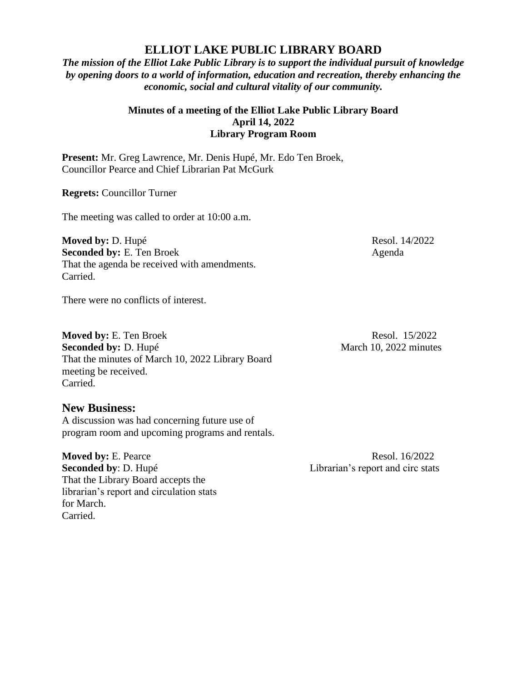## **ELLIOT LAKE PUBLIC LIBRARY BOARD**

*The mission of the Elliot Lake Public Library is to support the individual pursuit of knowledge by opening doors to a world of information, education and recreation, thereby enhancing the economic, social and cultural vitality of our community.*

## **Minutes of a meeting of the Elliot Lake Public Library Board April 14, 2022 Library Program Room**

**Present:** Mr. Greg Lawrence, Mr. Denis Hupé, Mr. Edo Ten Broek, Councillor Pearce and Chief Librarian Pat McGurk

**Regrets:** Councillor Turner

The meeting was called to order at 10:00 a.m.

**Moved by:** D. Hupé Resol. 14/2022 **Seconded by:** E. Ten Broek Agenda That the agenda be received with amendments. Carried.

There were no conflicts of interest.

**Moved by:** E. Ten Broek Resol. 15/2022 **Seconded by:** D. Hupé March 10, 2022 minutes That the minutes of March 10, 2022 Library Board meeting be received. Carried.

## **New Business:**

A discussion was had concerning future use of program room and upcoming programs and rentals.

**Moved by:** E. Pearce Resol. 16/2022 **Seconded by**: D. Hupé Librarian's report and circ stats That the Library Board accepts the librarian's report and circulation stats for March. Carried.